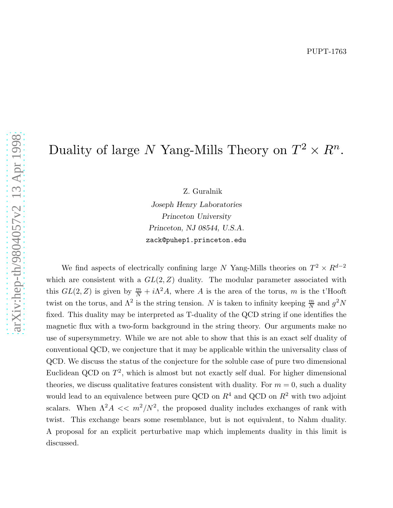# Duality of large  $N$  Yang-Mills Theory on  $T^2$  $\times R^n$ .

Z. Guralnik

Joseph Henry Laboratories Princeton University Princeton, NJ 08544, U.S.A. zack@puhep1.princeton.edu

We find aspects of electrically confining large N Yang-Mills theories on  $T^2 \times R^{d-2}$ which are consistent with a  $GL(2, Z)$  duality. The modular parameter associated with this  $GL(2, Z)$  is given by  $\frac{m}{N} + i\Lambda^2 A$ , where A is the area of the torus, m is the t'Hooft twist on the torus, and  $\Lambda^2$  is the string tension. N is taken to infinity keeping  $\frac{m}{N}$  and  $g^2N$ fixed. This duality may be interpreted as T-duality of the QCD string if one identifies the magnetic flux with a two-form background in the string theory. Our arguments make no use of supersymmetry. While we are not able to show that this is an exact self duality of conventional QCD, we conjecture that it may be applicable within the universality class of QCD. We discuss the status of the conjecture for the soluble case of pure two dimensional Euclidean QCD on  $T^2$ , which is almost but not exactly self dual. For higher dimensional theories, we discuss qualitative features consistent with duality. For  $m = 0$ , such a duality would lead to an equivalence between pure QCD on  $R^4$  and QCD on  $R^2$  with two adjoint scalars. When  $\Lambda^2 A \ll m^2/N^2$ , the proposed duality includes exchanges of rank with twist. This exchange bears some resemblance, but is not equivalent, to Nahm duality. A proposal for an explicit perturbative map which implements duality in this limit is discussed.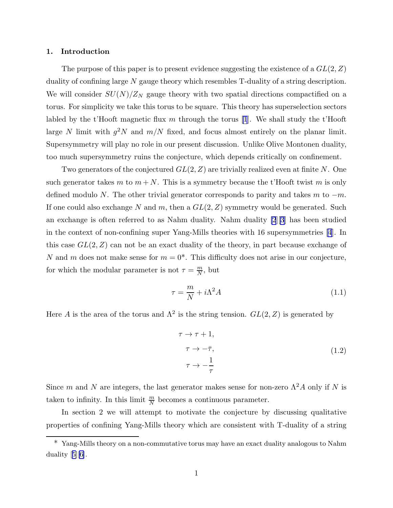#### <span id="page-1-0"></span>1. Introduction

The purpose of this paper is to present evidence suggesting the existence of a  $GL(2, Z)$ duality of confining large N gauge theory which resembles T-duality of a string description. We will consider  $SU(N)/Z_N$  gauge theory with two spatial directions compactified on a torus. For simplicity we take this torus to be square. This theory has superselection sectors labled by the t'Hooft magnetic flux m through the torus [\[1](#page-15-0)]. We shall study the t'Hooft large N limit with  $g^2N$  and  $m/N$  fixed, and focus almost entirely on the planar limit. Supersymmetry will play no role in our present discussion. Unlike Olive Montonen duality, too much supersymmetry ruins the conjecture, which depends critically on confinement.

Two generators of the conjectured  $GL(2, Z)$  are trivially realized even at finite N. One such generator takes m to  $m + N$ . This is a symmetry because the t'Hooft twist m is only defined modulo N. The other trivial generator corresponds to parity and takes m to  $-m$ . If one could also exchange N and m, then a  $GL(2, Z)$  symmetry would be generated. Such an exchange is often referred to as Nahm duality. Nahm duality [\[2](#page-15-0)][\[3](#page-15-0)] has been studied in the context of non-confining super Yang-Mills theories with 16 supersymmetries [\[4](#page-15-0)]. In this case  $GL(2, Z)$  can not be an exact duality of the theory, in part because exchange of N and m does not make sense for  $m = 0^*$ . This difficulty does not arise in our conjecture, for which the modular parameter is not  $\tau = \frac{m}{N}$  $\frac{m}{N}$ , but

$$
\tau = \frac{m}{N} + i\Lambda^2 A \tag{1.1}
$$

Here A is the area of the torus and  $\Lambda^2$  is the string tension.  $GL(2, Z)$  is generated by

$$
\tau \to \tau + 1,
$$
  
\n
$$
\tau \to -\bar{\tau},
$$
  
\n
$$
\tau \to -\frac{1}{\tau}
$$
  
\n(1.2)

Since m and N are integers, the last generator makes sense for non-zero  $\Lambda^2 A$  only if N is taken to infinity. In this limit  $\frac{m}{N}$  becomes a continuous parameter.

In section 2 we will attempt to motivate the conjecture by discussing qualitative properties of confining Yang-Mills theory which are consistent with T-duality of a string

<sup>\*</sup> Yang-Mills theory on a non-commutative torus may have an exact duality analogous to Nahm duality[[5](#page-15-0)][\[6\]](#page-15-0).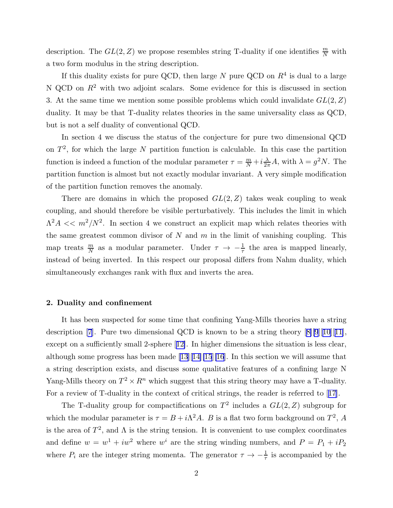description. The  $GL(2, Z)$  we propose resembles string T-duality if one identifies  $\frac{m}{N}$  with a two form modulus in the string description.

If this duality exists for pure QCD, then large  $N$  pure QCD on  $R<sup>4</sup>$  is dual to a large N QCD on  $R^2$  with two adjoint scalars. Some evidence for this is discussed in section 3. At the same time we mention some possible problems which could invalidate  $GL(2, Z)$ duality. It may be that T-duality relates theories in the same universality class as QCD, but is not a self duality of conventional QCD.

In section 4 we discuss the status of the conjecture for pure two dimensional QCD on  $T^2$ , for which the large N partition function is calculable. In this case the partition function is indeed a function of the modular parameter  $\tau = \frac{m}{N} + i \frac{\lambda}{2\pi} A$ , with  $\lambda = g^2 N$ . The partition function is almost but not exactly modular invariant. A very simple modification of the partition function removes the anomaly.

There are domains in which the proposed  $GL(2, Z)$  takes weak coupling to weak coupling, and should therefore be visible perturbatively. This includes the limit in which  $\Lambda^2 A \ll m^2/N^2$ . In section 4 we construct an explicit map which relates theories with the same greatest common divisor of  $N$  and  $m$  in the limit of vanishing coupling. This map treats  $\frac{m}{N}$  as a modular parameter. Under  $\tau \to -\frac{1}{\tau}$  the area is mapped linearly, instead of being inverted. In this respect our proposal differs from Nahm duality, which simultaneously exchanges rank with flux and inverts the area.

## 2. Duality and confinement

It has been suspected for some time that confining Yang-Mills theories have a string description [\[7](#page-15-0)].Pure two dimensional QCD is known to be a string theory  $[8][9][10][11]$  $[8][9][10][11]$  $[8][9][10][11]$  $[8][9][10][11]$  $[8][9][10][11]$  $[8][9][10][11]$ , excepton a sufficiently small 2-sphere [[12\]](#page-15-0). In higher dimensions the situation is less clear, althoughsome progress has been made  $[13][14][15][16]$  $[13][14][15][16]$  $[13][14][15][16]$  $[13][14][15][16]$  $[13][14][15][16]$  $[13][14][15][16]$  $[13][14][15][16]$ . In this section we will assume that a string description exists, and discuss some qualitative features of a confining large N Yang-Mills theory on  $T^2 \times R^n$  which suggest that this string theory may have a T-duality. For a review of T-duality in the context of critical strings, the reader is referred to[[17\]](#page-15-0).

The T-duality group for compactifications on  $T^2$  includes a  $GL(2, Z)$  subgroup for which the modular parameter is  $\tau = B + i\Lambda^2 A$ . B is a flat two form background on  $T^2$ , A is the area of  $T^2$ , and  $\Lambda$  is the string tension. It is convenient to use complex coordinates and define  $w = w^1 + iw^2$  where  $w^i$  are the string winding numbers, and  $P = P_1 + iP_2$ where  $P_i$  are the integer string momenta. The generator  $\tau \to -\frac{1}{\tau}$  is accompanied by the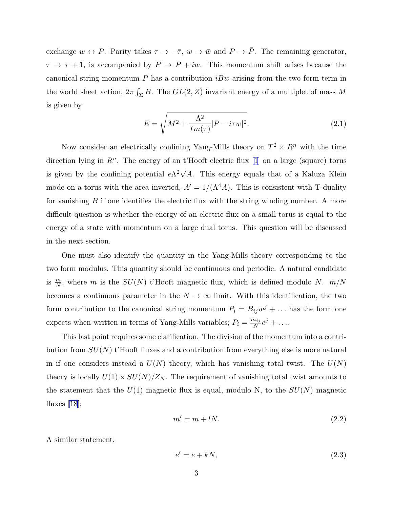<span id="page-3-0"></span>exchange  $w \leftrightarrow P$ . Parity takes  $\tau \to -\bar{\tau}$ ,  $w \to \bar{w}$  and  $P \to \bar{P}$ . The remaining generator,  $\tau \to \tau + 1$ , is accompanied by  $P \to P + i\omega$ . This momentum shift arises because the canonical string momentum  $P$  has a contribution  $iBw$  arising from the two form term in the world sheet action,  $2\pi \int_{\Sigma} B$ . The  $GL(2, Z)$  invariant energy of a multiplet of mass M is given by

$$
E = \sqrt{M^2 + \frac{\Lambda^2}{Im(\tau)}|P - i\tau w|^2}.
$$
\n(2.1)

Now consider an electrically confining Yang-Mills theory on  $T^2 \times R^n$  with the time directionlying in  $\mathbb{R}^n$ . The energy of an t'Hooft electric flux [[1](#page-15-0)] on a large (square) torus is given by the confining potential  $e\Lambda^2\sqrt{A}$ . This energy equals that of a Kaluza Klein mode on a torus with the area inverted,  $A' = 1/(\Lambda^4 A)$ . This is consistent with T-duality for vanishing  $B$  if one identifies the electric flux with the string winding number. A more difficult question is whether the energy of an electric flux on a small torus is equal to the energy of a state with momentum on a large dual torus. This question will be discussed in the next section.

One must also identify the quantity in the Yang-Mills theory corresponding to the two form modulus. This quantity should be continuous and periodic. A natural candidate is  $\frac{m}{N}$ , where m is the  $SU(N)$  t'Hooft magnetic flux, which is defined modulo N.  $m/N$ becomes a continuous parameter in the  $N \to \infty$  limit. With this identification, the two form contribution to the canonical string momentum  $P_i = B_{ij}w^j + \dots$  has the form one expects when written in terms of Yang-Mills variables;  $P_i = \frac{m_{ij}}{N}$  $\frac{n_{ij}}{N}e^j + \ldots$ 

This last point requires some clarification. The division of the momentum into a contribution from  $SU(N)$  t'Hooft fluxes and a contribution from everything else is more natural in if one considers instead a  $U(N)$  theory, which has vanishing total twist. The  $U(N)$ theory is locally  $U(1) \times SU(N)/Z_N$ . The requirement of vanishing total twist amounts to the statement that the  $U(1)$  magnetic flux is equal, modulo N, to the  $SU(N)$  magnetic fluxes $[18]$  $[18]$ ;

$$
m' = m + lN.\t\t(2.2)
$$

A similar statement,

$$
e' = e + kN,\tag{2.3}
$$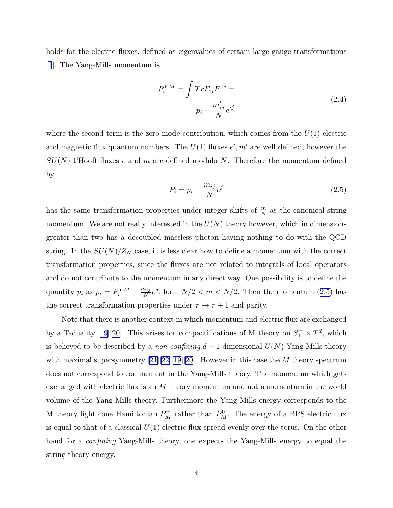holds for the electric fluxes, defined as eigenvalues of certain large gauge transformations [\[1](#page-15-0)]. The Yang-Mills momentum is

$$
P_i^{YM} = \int Tr F_{ij} F^{0j} =
$$
  

$$
p_i + \frac{m'_{ij}}{N} e^{j}
$$
 (2.4)

where the second term is the zero-mode contribution, which comes from the  $U(1)$  electric and magnetic flux quantum numbers. The  $U(1)$  fluxes  $e', m'$  are well defined, however the  $SU(N)$  t'Hooft fluxes e and m are defined modulo N. Therefore the momentum defined by

$$
P_i = p_i + \frac{m_{ij}}{N}e^j \tag{2.5}
$$

has the same transformation properties under integer shifts of  $\frac{m}{N}$  as the canonical string momentum. We are not really interested in the  $U(N)$  theory however, which in dimensions greater than two has a decoupled massless photon having nothing to do with the QCD string. In the  $SU(N)/Z_N$  case, it is less clear how to define a momentum with the correct transformation properties, since the fluxes are not related to integrals of local operators and do not contribute to the momentum in any direct way. One possibility is to define the quantity  $p_i$  as  $p_i = P_i^{YM} - \frac{m_{ij}}{N}$  $\frac{n_{ij}}{N}e^j$ , for  $-N/2 < m < N/2$ . Then the momentum (2.5) has the correct transformation properties under  $\tau \to \tau + 1$  and parity.

Note that there is another context in which momentum and electric flux are exchanged bya T-duality [[19\]](#page-16-0)[[20\]](#page-16-0). This arises for compactifications of M theory on  $S_1^+ \times T^d$ , which is believed to be described by a *non-confining*  $d+1$  dimensional  $U(N)$  Yang-Mills theory withmaximal supersymmetry  $[21][22][19][20]$  $[21][22][19][20]$  $[21][22][19][20]$  $[21][22][19][20]$  $[21][22][19][20]$  $[21][22][19][20]$  $[21][22][19][20]$ . However in this case the M theory spectrum does not correspond to confinement in the Yang-Mills theory. The momentum which gets exchanged with electric flux is an M theory momentum and not a momentum in the world volume of the Yang-Mills theory. Furthermore the Yang-Mills energy corresponds to the M theory light cone Hamiltonian  $P_M^+$  rather than  $P_M^0$ . The energy of a BPS electric flux is equal to that of a classical  $U(1)$  electric flux spread evenly over the torus. On the other hand for a *confining* Yang-Mills theory, one expects the Yang-Mills energy to equal the string theory energy.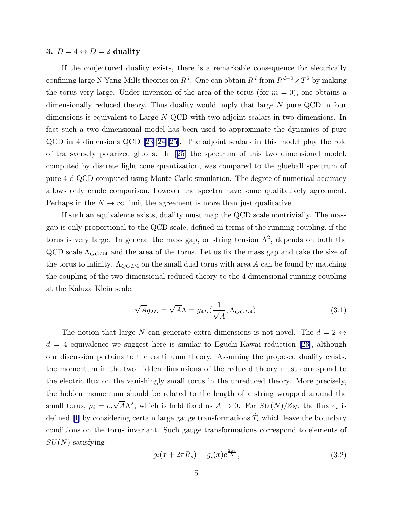#### 3.  $D = 4 \leftrightarrow D = 2$  duality

If the conjectured duality exists, there is a remarkable consequence for electrically confining large N Yang-Mills theories on  $R^d$ . One can obtain  $R^d$  from  $R^{d-2} \times T^2$  by making the torus very large. Under inversion of the area of the torus (for  $m = 0$ ), one obtains a dimensionally reduced theory. Thus duality would imply that large N pure QCD in four dimensions is equivalent to Large N QCD with two adjoint scalars in two dimensions. In fact such a two dimensional model has been used to approximate the dynamics of pure QCD in 4 dimensions QCD[[23\]](#page-16-0)[[24\]\[25](#page-16-0)]. The adjoint scalars in this model play the role of transversely polarized gluons. In[[25\]](#page-16-0) the spectrum of this two dimensional model, computed by discrete light cone quantization, was compared to the glueball spectrum of pure 4-d QCD computed using Monte-Carlo simulation. The degree of numerical accuracy allows only crude comparison, however the spectra have some qualitatively agreement. Perhaps in the  $N \to \infty$  limit the agreement is more than just qualitative.

If such an equivalence exists, duality must map the QCD scale nontrivially. The mass gap is only proportional to the QCD scale, defined in terms of the running coupling, if the torus is very large. In general the mass gap, or string tension  $\Lambda^2$ , depends on both the QCD scale  $\Lambda_{QCD4}$  and the area of the torus. Let us fix the mass gap and take the size of the torus to infinity.  $\Lambda_{QCD4}$  on the small dual torus with area A can be found by matching the coupling of the two dimensional reduced theory to the 4 dimensional running coupling at the Kaluza Klein scale;

$$
\sqrt{A}g_{2D} = \sqrt{A}\Lambda = g_{4D}(\frac{1}{\sqrt{A}}, \Lambda_{QCD4}).
$$
\n(3.1)

The notion that large N can generate extra dimensions is not novel. The  $d = 2 \leftrightarrow$  $d = 4$  $d = 4$  $d = 4$  equivalence we suggest here is similar to Eguchi-Kawai reduction [[26\]](#page-16-0), although our discussion pertains to the continuum theory. Assuming the proposed duality exists, the momentum in the two hidden dimensions of the reduced theory must correspond to the electric flux on the vanishingly small torus in the unreduced theory. More precisely, the hidden momentum should be related to the length of a string wrapped around the small torus,  $p_i = e_i \sqrt{A} \Lambda^2$ , which is held fixed as  $A \to 0$ . For  $SU(N)/Z_N$ , the flux  $e_i$  is defined[[1\]](#page-15-0) by considering certain large gauge transformations  $\hat{T_i}$  which leave the boundary conditions on the torus invariant. Such gauge transformations correspond to elements of  $SU(N)$  satisfying

$$
g_i(x + 2\pi R_s) = g_i(x)e^{\frac{2\pi i}{N}},
$$
\n(3.2)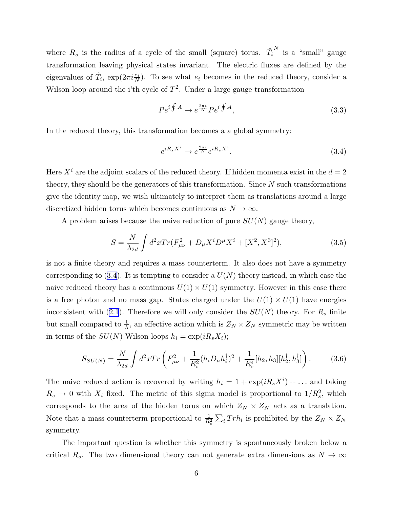<span id="page-6-0"></span>where  $R_s$  is the radius of a cycle of the small (square) torus.  $\hat{T}_i$  $\frac{N}{N}$  is a "small" gauge transformation leaving physical states invariant. The electric fluxes are defined by the eigenvalues of  $\hat{T}_i$ ,  $\exp(2\pi i \frac{e_i}{N})$ . To see what  $e_i$  becomes in the reduced theory, consider a Wilson loop around the i'th cycle of  $T^2$ . Under a large gauge transformation

$$
Pe^{i\oint A} \to e^{\frac{2\pi i}{N}} Pe^{i\oint A},\tag{3.3}
$$

In the reduced theory, this transformation becomes a a global symmetry:

$$
e^{iR_s X^i} \to e^{\frac{2\pi i}{N}} e^{iR_s X^i}.
$$
\n(3.4)

Here  $X^i$  are the adjoint scalars of the reduced theory. If hidden momenta exist in the  $d = 2$ theory, they should be the generators of this transformation. Since  $N$  such transformations give the identity map, we wish ultimately to interpret them as translations around a large discretized hidden torus which becomes continuous as  $N \to \infty$ .

A problem arises because the naive reduction of pure  $SU(N)$  gauge theory,

$$
S = \frac{N}{\lambda_{2d}} \int d^2x Tr(F_{\mu\nu}^2 + D_{\mu}X^i D^{\mu}X^i + [X^2, X^3]^2), \tag{3.5}
$$

is not a finite theory and requires a mass counterterm. It also does not have a symmetry corresponding to  $(3.4)$ . It is tempting to consider a  $U(N)$  theory instead, in which case the naive reduced theory has a continuous  $U(1) \times U(1)$  symmetry. However in this case there is a free photon and no mass gap. States charged under the  $U(1) \times U(1)$  have energies inconsistent with [\(2.1](#page-3-0)). Therefore we will only consider the  $SU(N)$  theory. For  $R_s$  finite but small compared to  $\frac{1}{\Lambda}$ , an effective action which is  $Z_N \times Z_N$  symmetric may be written in terms of the  $SU(N)$  Wilson loops  $h_i = \exp(iR_sX_i);$ 

$$
S_{SU(N)} = \frac{N}{\lambda_{2d}} \int d^2x \, Tr \left( F_{\mu\nu}^2 + \frac{1}{R_s^2} (h_i D_\mu h_i^\dagger)^2 + \frac{1}{R_s^4} [h_2, h_3] [h_2^\dagger, h_3^\dagger] \right). \tag{3.6}
$$

The naive reduced action is recovered by writing  $h_i = 1 + \exp(iR_sX^i) + \dots$  and taking  $R_s \to 0$  with  $X_i$  fixed. The metric of this sigma model is proportional to  $1/R_s^2$ , which corresponds to the area of the hidden torus on which  $Z_N \times Z_N$  acts as a translation. Note that a mass counterterm proportional to  $\frac{1}{R_s^2} \sum_i Tr h_i$  is prohibited by the  $Z_N \times Z_N$ symmetry.

The important question is whether this symmetry is spontaneously broken below a critical R<sub>s</sub>. The two dimensional theory can not generate extra dimensions as  $N \to \infty$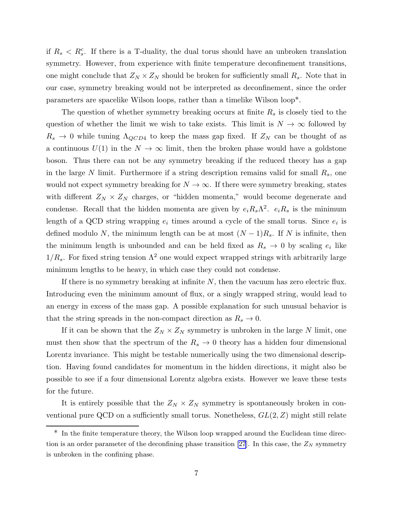if  $R_s < R_s^c$ . If there is a T-duality, the dual torus should have an unbroken translation symmetry. However, from experience with finite temperature deconfinement transitions, one might conclude that  $Z_N \times Z_N$  should be broken for sufficiently small  $R_s$ . Note that in our case, symmetry breaking would not be interpreted as deconfinement, since the order parameters are spacelike Wilson loops, rather than a timelike Wilson loop\*.

The question of whether symmetry breaking occurs at finite  $R_s$  is closely tied to the question of whether the limit we wish to take exists. This limit is  $N \to \infty$  followed by  $R_s \rightarrow 0$  while tuning  $\Lambda_{QCD4}$  to keep the mass gap fixed. If  $Z_N$  can be thought of as a continuous  $U(1)$  in the  $N \to \infty$  limit, then the broken phase would have a goldstone boson. Thus there can not be any symmetry breaking if the reduced theory has a gap in the large N limit. Furthermore if a string description remains valid for small  $R_s$ , one would not expect symmetry breaking for  $N \to \infty$ . If there were symmetry breaking, states with different  $Z_N \times Z_N$  charges, or "hidden momenta," would become degenerate and condense. Recall that the hidden momenta are given by  $e_i R_s \Lambda^2$ .  $e_i R_s$  is the minimum length of a QCD string wrapping  $e_i$  times around a cycle of the small torus. Since  $e_i$  is defined modulo N, the minimum length can be at most  $(N-1)R_s$ . If N is infinite, then the minimum length is unbounded and can be held fixed as  $R_s \to 0$  by scaling  $e_i$  like  $1/R_s$ . For fixed string tension  $\Lambda^2$  one would expect wrapped strings with arbitrarily large minimum lengths to be heavy, in which case they could not condense.

If there is no symmetry breaking at infinite  $N$ , then the vacuum has zero electric flux. Introducing even the minimum amount of flux, or a singly wrapped string, would lead to an energy in excess of the mass gap. A possible explanation for such unusual behavior is that the string spreads in the non-compact direction as  $R_s \to 0$ .

If it can be shown that the  $Z_N \times Z_N$  symmetry is unbroken in the large N limit, one must then show that the spectrum of the  $R_s \to 0$  theory has a hidden four dimensional Lorentz invariance. This might be testable numerically using the two dimensional description. Having found candidates for momentum in the hidden directions, it might also be possible to see if a four dimensional Lorentz algebra exists. However we leave these tests for the future.

It is entirely possible that the  $Z_N \times Z_N$  symmetry is spontaneously broken in conventional pure QCD on a sufficiently small torus. Nonetheless,  $GL(2, Z)$  might still relate

<sup>\*</sup> In the finite temperature theory, the Wilson loop wrapped around the Euclidean time direc-tion is an order parameter of the deconfining phase transition [\[27](#page-16-0)]. In this case, the  $Z_N$  symmetry is unbroken in the confining phase.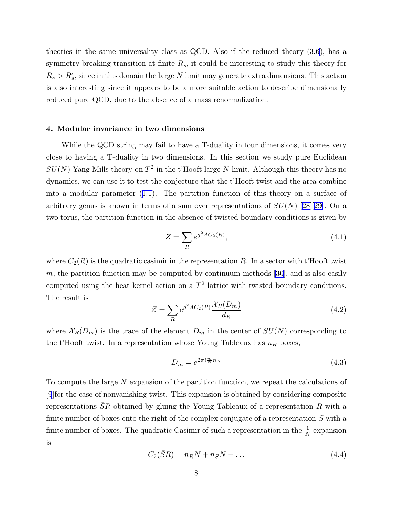theories in the same universality class as QCD. Also if the reduced theory([3.6](#page-6-0)), has a symmetry breaking transition at finite  $R_s$ , it could be interesting to study this theory for  $R_s > R_s^c$ , since in this domain the large N limit may generate extra dimensions. This action is also interesting since it appears to be a more suitable action to describe dimensionally reduced pure QCD, due to the absence of a mass renormalization.

#### 4. Modular invariance in two dimensions

While the QCD string may fail to have a T-duality in four dimensions, it comes very close to having a T-duality in two dimensions. In this section we study pure Euclidean  $SU(N)$  Yang-Mills theory on  $T^2$  in the t'Hooft large N limit. Although this theory has no dynamics, we can use it to test the conjecture that the t'Hooft twist and the area combine into a modular parameter([1.1\)](#page-1-0). The partition function of this theory on a surface of arbitrarygenus is known in terms of a sum over representations of  $SU(N)$  [[28\]](#page-16-0)[[29\]](#page-16-0). On a two torus, the partition function in the absence of twisted boundary conditions is given by

$$
Z = \sum_{R} e^{g^2 A C_2(R)},
$$
\n(4.1)

where  $C_2(R)$  is the quadratic casimir in the representation R. In a sector with t'Hooft twist m,the partition function may be computed by continuum methods  $[30]$  $[30]$ , and is also easily computed using the heat kernel action on a  $T^2$  lattice with twisted boundary conditions. The result is

$$
Z = \sum_{R} e^{g^2 A C_2(R)} \frac{\mathcal{X}_R(D_m)}{d_R}
$$
(4.2)

where  $\mathcal{X}_R(D_m)$  is the trace of the element  $D_m$  in the center of  $SU(N)$  corresponding to the t'Hooft twist. In a representation whose Young Tableaux has  $n_R$  boxes,

$$
D_m = e^{2\pi i \frac{m}{N} n_R} \tag{4.3}
$$

To compute the large N expansion of the partition function, we repeat the calculations of [\[9](#page-15-0)]for the case of nonvanishing twist. This expansion is obtained by considering composite representations  $\overline{S}R$  obtained by gluing the Young Tableaux of a representation R with a finite number of boxes onto the right of the complex conjugate of a representation  $S$  with a finite number of boxes. The quadratic Casimir of such a representation in the  $\frac{1}{N}$  expansion is

$$
C_2(\bar{S}R) = n_R N + n_S N + \dots \tag{4.4}
$$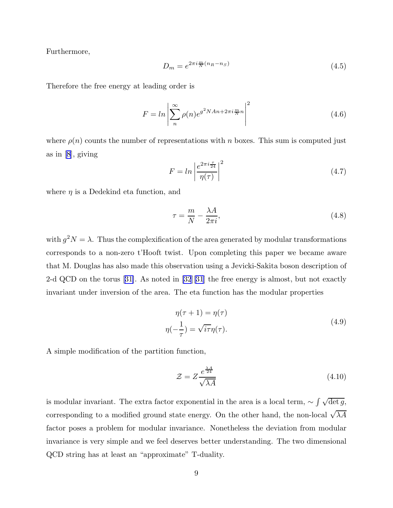Furthermore,

$$
D_m = e^{2\pi i \frac{m}{N}(n_R - n_S)}\tag{4.5}
$$

Therefore the free energy at leading order is

$$
F = \ln \left| \sum_{n=0}^{\infty} \rho(n) e^{g^2 N A n + 2\pi i \frac{m}{N} n} \right|^2 \tag{4.6}
$$

where  $\rho(n)$  counts the number of representations with n boxes. This sum is computed just as in[[8](#page-15-0)], giving

$$
F = \ln \left| \frac{e^{2\pi i \frac{\tau}{24}}}{\eta(\tau)} \right|^2 \tag{4.7}
$$

where  $\eta$  is a Dedekind eta function, and

$$
\tau = \frac{m}{N} - \frac{\lambda A}{2\pi i},\tag{4.8}
$$

with  $g^2N = \lambda$ . Thus the complexification of the area generated by modular transformations corresponds to a non-zero t'Hooft twist. Upon completing this paper we became aware that M. Douglas has also made this observation using a Jevicki-Sakita boson description of 2-d QCD on the torus[[31\]](#page-16-0). As noted in [\[32](#page-16-0)][\[31](#page-16-0)] the free energy is almost, but not exactly invariant under inversion of the area. The eta function has the modular properties

$$
\eta(\tau + 1) = \eta(\tau)
$$
  

$$
\eta(-\frac{1}{\tau}) = \sqrt{i\tau}\eta(\tau).
$$
 (4.9)

A simple modification of the partition function,

$$
\mathcal{Z} = Z \frac{e^{\frac{\lambda A}{24}}}{\sqrt{\lambda A}}\tag{4.10}
$$

is modular invariant. The extra factor exponential in the area is a local term,  $\sim \int \sqrt{\det g}$ , corresponding to a modified ground state energy. On the other hand, the non-local  $\sqrt{\lambda A}$ factor poses a problem for modular invariance. Nonetheless the deviation from modular invariance is very simple and we feel deserves better understanding. The two dimensional QCD string has at least an "approximate" T-duality.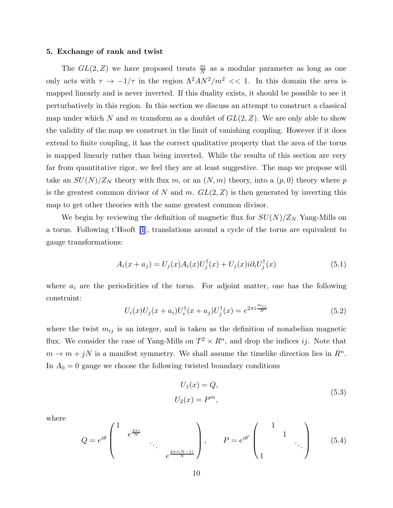#### 5. Exchange of rank and twist

The  $GL(2, Z)$  we have proposed treats  $\frac{m}{N}$  as a modular parameter as long as one only acts with  $\tau \to -1/\tau$  in the region  $\Lambda^2 A N^2 / m^2 \ll 1$ . In this domain the area is mapped linearly and is never inverted. If this duality exists, it should be possible to see it perturbatively in this region. In this section we discuss an attempt to construct a classical map under which N and m transform as a doublet of  $GL(2, Z)$ . We are only able to show the validity of the map we construct in the limit of vanishing coupling. However if it does extend to finite coupling, it has the correct qualitative property that the area of the torus is mapped linearly rather than being inverted. While the results of this section are very far from quantitative rigor, we feel they are at least suggestive. The map we propose will take an  $SU(N)/Z_N$  theory with flux m, or an  $(N, m)$  theory, into a  $(p, 0)$  theory where p is the greatest common divisor of N and m.  $GL(2, Z)$  is then generated by inverting this map to get other theories with the same greatest common divisor.

We begin by reviewing the definition of magnetic flux for  $SU(N)/Z_N$  Yang-Mills on a torus. Following t'Hooft [\[1](#page-15-0)], translations around a cycle of the torus are equivalent to gauge transformations:

$$
A_i(x + a_j) = U_j(x)A_i(x)U_j^{\dagger}(x) + U_j(x)i\partial_i U_j^{\dagger}(x)
$$
\n(5.1)

where  $a_i$  are the periodicities of the torus. For adjoint matter, one has the following constraint:

$$
U_i(x)U_j(x+a_i)U_i^{\dagger}(x+a_j)U_j^{\dagger}(x) = e^{2\pi i \frac{m_{ij}}{N}}
$$
\n(5.2)

where the twist  $m_{ij}$  is an integer, and is taken as the definition of nonabelian magnetic flux. We consider the case of Yang-Mills on  $T^2 \times R^n$ , and drop the indices ij. Note that  $m \to m + jN$  is a manifest symmetry. We shall assume the timelike direction lies in  $R^n$ . In  $A_0 = 0$  gauge we choose the following twisted boundary conditions

$$
U_1(x) = Q,
$$
  

$$
U_2(x) = P^m,
$$
\n
$$
(5.3)
$$

where

$$
Q = e^{i\theta} \begin{pmatrix} 1 & & & & \\ & e^{\frac{2\pi i}{N}} & & & \\ & & \ddots & \\ & & & e^{\frac{2\pi i(N-1)}{N}} \end{pmatrix}, \qquad P = e^{i\theta'} \begin{pmatrix} 1 & & & \\ & 1 & & \\ & & \ddots & \\ 1 & & & \ddots \end{pmatrix} \tag{5.4}
$$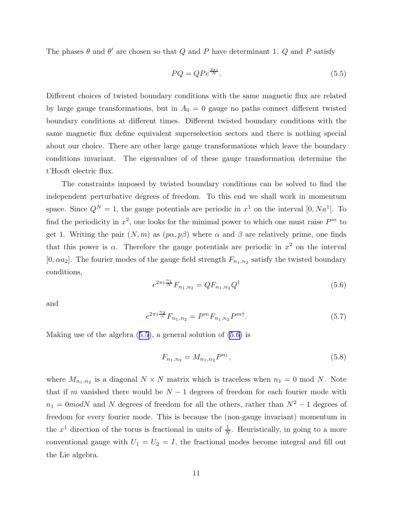<span id="page-11-0"></span>The phases  $\theta$  and  $\theta'$  are chosen so that Q and P have determinant 1. Q and P satisfy

$$
PQ = QPe^{\frac{2\pi i}{N}}.\tag{5.5}
$$

Different choices of twisted boundary conditions with the same magnetic flux are related by large gauge transformations, but in  $A_0 = 0$  gauge no paths connect different twisted boundary conditions at different times. Different twisted boundary conditions with the same magnetic flux define equivalent superselection sectors and there is nothing special about our choice. There are other large gauge transformations which leave the boundary conditions invariant. The eigenvalues of of these gauge transformation determine the t'Hooft electric flux.

The constraints imposed by twisted boundary conditions can be solved to find the independent perturbative degrees of freedom. To this end we shall work in momentum space. Since  $Q^N = 1$ , the gauge potentials are periodic in  $x^1$  on the interval [0,  $Na^1$ ]. To find the periodicity in  $x^2$ , one looks for the minimal power to which one must raise  $P^m$  to get 1. Writing the pair  $(N, m)$  as  $(p\alpha, p\beta)$  where  $\alpha$  and  $\beta$  are relatively prime, one finds that this power is  $\alpha$ . Therefore the gauge potentials are periodic in  $x^2$  on the interval [0,  $\alpha a_2$ ]. The fourier modes of the gauge field strength  $F_{n_1,n_2}$  satisfy the twisted boundary conditions,

$$
e^{2\pi i \frac{n_1}{N}} F_{n_1, n_2} = Q F_{n_1, n_2} Q^{\dagger} \tag{5.6}
$$

and

$$
e^{2\pi i \frac{n_2}{\alpha}} F_{n_1, n_2} = P^m F_{n_1, n_2} P^{m \dagger}.
$$
\n(5.7)

Making use of the algebra  $(5.5)$ , a general solution of  $(5.6)$  is

$$
F_{n_1,n_2} = M_{n_1,n_2} P^{n_1},\tag{5.8}
$$

where  $M_{n_1,n_2}$  is a diagonal  $N \times N$  matrix which is traceless when  $n_1 = 0 \text{ mod } N$ . Note that if m vanished there would be  $N-1$  degrees of freedom for each fourier mode with  $n_1 = 0 \mod N$  and N degrees of freedom for all the others, rather than  $N^2 - 1$  degrees of freedom for every fourier mode. This is because the (non-gauge invariant) momentum in the  $x^1$  direction of the torus is fractional in units of  $\frac{1}{N}$ . Heuristically, in going to a more conventional gauge with  $U_1 = U_2 = I$ , the fractional modes become integral and fill out the Lie algebra.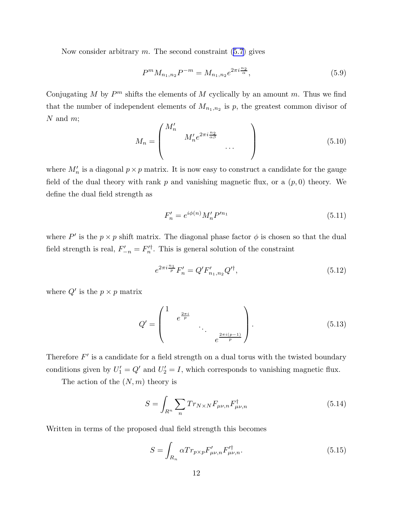Nowconsider arbitrary  $m$ . The second constraint  $(5.7)$  $(5.7)$  $(5.7)$  gives

$$
P^{m}M_{n_{1},n_{2}}P^{-m} = M_{n_{1},n_{2}}e^{2\pi i\frac{n_{2}}{\alpha}},
$$
\n(5.9)

Conjugating M by  $P^m$  shifts the elements of M cyclically by an amount m. Thus we find that the number of independent elements of  $M_{n_1,n_2}$  is p, the greatest common divisor of  $N$  and  $m$ ;

$$
M_n = \begin{pmatrix} M'_n & & \\ & M'_n e^{2\pi i \frac{n_2}{\alpha \beta}} & \\ & & \cdots \\ & & & \end{pmatrix}
$$
 (5.10)

where  $M'_n$  is a diagonal  $p \times p$  matrix. It is now easy to construct a candidate for the gauge field of the dual theory with rank  $p$  and vanishing magnetic flux, or a  $(p, 0)$  theory. We define the dual field strength as

$$
F'_n = e^{i\phi(n)} M'_n P'^{n_1}
$$
\n(5.11)

where  $P'$  is the  $p \times p$  shift matrix. The diagonal phase factor  $\phi$  is chosen so that the dual field strength is real,  $F'_{-n} = F'^{\dagger}_{n}$ . This is general solution of the constraint

$$
e^{2\pi i \frac{n_1}{p}} F'_n = Q' F'_{n_1, n_2} Q'^{\dagger}, \tag{5.12}
$$

where  $Q'$  is the  $p \times p$  matrix

$$
Q' = \begin{pmatrix} 1 & e^{\frac{2\pi i}{p}} & & \\ & \ddots & \\ & & e^{\frac{2\pi i(p-1)}{p}} \end{pmatrix} . \tag{5.13}
$$

Therefore  $F'$  is a candidate for a field strength on a dual torus with the twisted boundary conditions given by  $U'_1 = Q'$  and  $U'_2 = I$ , which corresponds to vanishing magnetic flux.

The action of the  $(N, m)$  theory is

$$
S = \int_{R^n} \sum_n Tr_{N \times N} F_{\mu\nu,n} F_{\mu\nu,n}^\dagger \tag{5.14}
$$

Written in terms of the proposed dual field strength this becomes

$$
S = \int_{R_n} \alpha Tr_{p \times p} F'_{\mu\nu,n} F'^{\dagger}_{\mu\nu,n}.
$$
\n(5.15)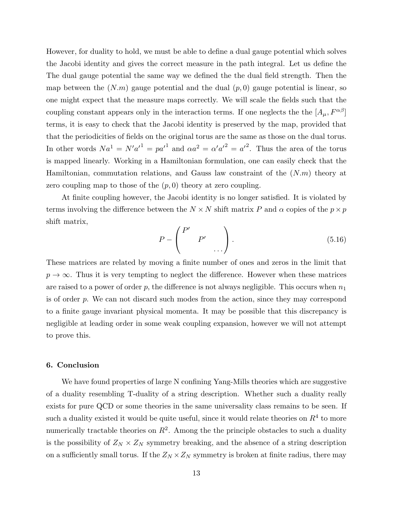However, for duality to hold, we must be able to define a dual gauge potential which solves the Jacobi identity and gives the correct measure in the path integral. Let us define the The dual gauge potential the same way we defined the the dual field strength. Then the map between the  $(N,m)$  gauge potential and the dual  $(p, 0)$  gauge potential is linear, so one might expect that the measure maps correctly. We will scale the fields such that the coupling constant appears only in the interaction terms. If one neglects the the  $[A_\mu, F^{\alpha\beta}]$ terms, it is easy to check that the Jacobi identity is preserved by the map, provided that that the periodicities of fields on the original torus are the same as those on the dual torus. In other words  $Na^1 = N'a'^1 = pa'^1$  and  $\alpha a^2 = \alpha'a'^2 = a'^2$ . Thus the area of the torus is mapped linearly. Working in a Hamiltonian formulation, one can easily check that the Hamiltonian, commutation relations, and Gauss law constraint of the  $(N.m)$  theory at zero coupling map to those of the  $(p, 0)$  theory at zero coupling.

At finite coupling however, the Jacobi identity is no longer satisfied. It is violated by terms involving the difference between the  $N \times N$  shift matrix P and  $\alpha$  copies of the  $p \times p$ shift matrix,

$$
P - \begin{pmatrix} P' & & \\ & P' & \\ & & \dots \end{pmatrix} . \tag{5.16}
$$

These matrices are related by moving a finite number of ones and zeros in the limit that  $p \to \infty$ . Thus it is very tempting to neglect the difference. However when these matrices are raised to a power of order p, the difference is not always negligible. This occurs when  $n_1$ is of order p. We can not discard such modes from the action, since they may correspond to a finite gauge invariant physical momenta. It may be possible that this discrepancy is negligible at leading order in some weak coupling expansion, however we will not attempt to prove this.

#### 6. Conclusion

We have found properties of large N confining Yang-Mills theories which are suggestive of a duality resembling T-duality of a string description. Whether such a duality really exists for pure QCD or some theories in the same universality class remains to be seen. If such a duality existed it would be quite useful, since it would relate theories on  $R<sup>4</sup>$  to more numerically tractable theories on  $R^2$ . Among the the principle obstacles to such a duality is the possibility of  $Z_N \times Z_N$  symmetry breaking, and the absence of a string description on a sufficiently small torus. If the  $Z_N \times Z_N$  symmetry is broken at finite radius, there may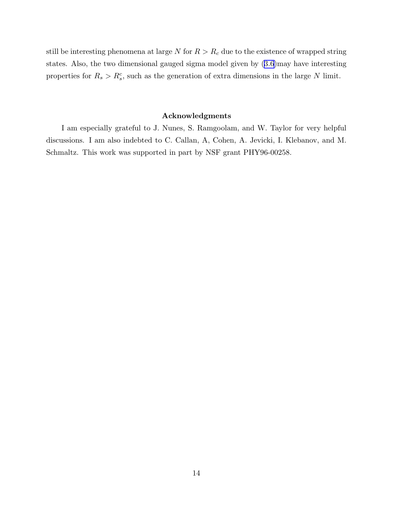still be interesting phenomena at large N for  $R > R_c$  due to the existence of wrapped string states. Also, the two dimensional gauged sigma model given by([3.6](#page-6-0))may have interesting properties for  $R_s > R_s^c$ , such as the generation of extra dimensions in the large N limit.

# Acknowledgments

I am especially grateful to J. Nunes, S. Ramgoolam, and W. Taylor for very helpful discussions. I am also indebted to C. Callan, A, Cohen, A. Jevicki, I. Klebanov, and M. Schmaltz. This work was supported in part by NSF grant PHY96-00258.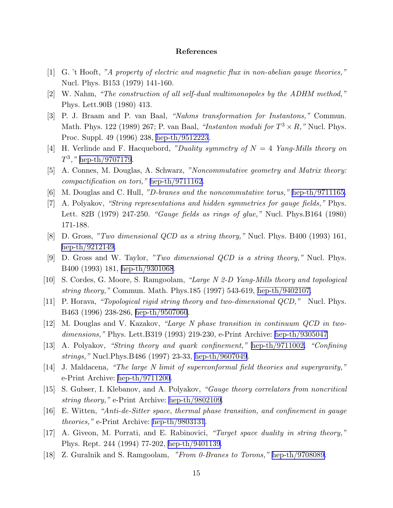## References

- <span id="page-15-0"></span>[1] G. 't Hooft, *"A property of electric and magnetic flux in non-abelian gauge theories,"* Nucl. Phys. B153 (1979) 141-160.
- [2] W. Nahm, *"The construction of all self-dual multimonopoles by the ADHM method,"* Phys. Lett.90B (1980) 413.
- [3] P. J. Braam and P. van Baal, *"Nahms transformation for Instantons,"* Commun. Math. Phys. 122 (1989) 267; P. van Baal, *"Instanton moduli for*  $T^3 \times R$ ," Nucl. Phys. Proc. Suppl. 49 (1996) 238, [hep-th/9512223.](http://arxiv.org/abs/hep-th/9512223)
- [4] H. Verlinde and F. Hacquebord, *"Duality symmetry of* N = 4 *Yang-Mills theory on*  $T^3$ ," [hep-th/9707179](http://arxiv.org/abs/hep-th/9707179).
- [5] A. Connes, M. Douglas, A. Schwarz, *"Noncommutative geometry and Matrix theory: compactification on tori,"* [hep-th/9711162](http://arxiv.org/abs/hep-th/9711162).
- [6] M. Douglas and C. Hull, *"D-branes and the noncommutative torus,"* [hep-th/9711165.](http://arxiv.org/abs/hep-th/9711165)
- [7] A. Polyakov, *"String representations and hidden symmetries for gauge fields,"* Phys. Lett. 82B (1979) 247-250. *"Gauge fields as rings of glue,"* Nucl. Phys.B164 (1980) 171-188.
- [8] D. Gross, *"Two dimensional QCD as a string theory,"* Nucl. Phys. B400 (1993) 161, [hep-th/9212149.](http://arxiv.org/abs/hep-th/9212149)
- [9] D. Gross and W. Taylor, *"Two dimensional QCD is a string theory,"* Nucl. Phys. B400 (1993) 181, [hep-th/9301068](http://arxiv.org/abs/hep-th/9301068).
- [10] S. Cordes, G. Moore, S. Ramgoolam, *"Large N 2-D Yang-Mills theory and topological string theory,"* Commun. Math. Phys.185 (1997) 543-619, [hep-th/9402107.](http://arxiv.org/abs/hep-th/9402107)
- [11] P. Horava, *"Topological rigid string theory and two-dimensional QCD,"* Nucl. Phys. B463 (1996) 238-286, [hep-th/9507060](http://arxiv.org/abs/hep-th/9507060).
- [12] M. Douglas and V. Kazakov, *"Large N phase transition in continuum QCD in twodimensions,"* Phys. Lett.B319 (1993) 219-230, e-Print Archive: [hep-th/9305047](http://arxiv.org/abs/hep-th/9305047)
- [13] A. Polyakov, *"String theory and quark confinement,"* [hep-th/9711002.](http://arxiv.org/abs/hep-th/9711002) *"Confining strings,"* Nucl.Phys.B486 (1997) 23-33, [hep-th/9607049](http://arxiv.org/abs/hep-th/9607049).
- [14] J. Maldacena, *"The large N limit of superconformal field theories and supergravity,"* e-Print Archive: [hep-th/9711200](http://arxiv.org/abs/hep-th/9711200).
- [15] S. Gubser, I. Klebanov, and A. Polyakov, *"Gauge theory correlators from noncritical string theory,"* e-Print Archive: [hep-th/9802109.](http://arxiv.org/abs/hep-th/9802109)
- [16] E. Witten, *"Anti-de-Sitter space, thermal phase transition, and confinement in gauge theories,"* e-Print Archive: [hep-th/9803131](http://arxiv.org/abs/hep-th/9803131).
- [17] A. Giveon, M. Porrati, and E. Rabinovici, *"Target space duality in string theory,"* Phys. Rept. 244 (1994) 77-202, [hep-th/9401139](http://arxiv.org/abs/hep-th/9401139).
- [18] Z. Guralnik and S. Ramgoolam, *"From 0-Branes to Torons,"* [hep-th/9708089.](http://arxiv.org/abs/hep-th/9708089)